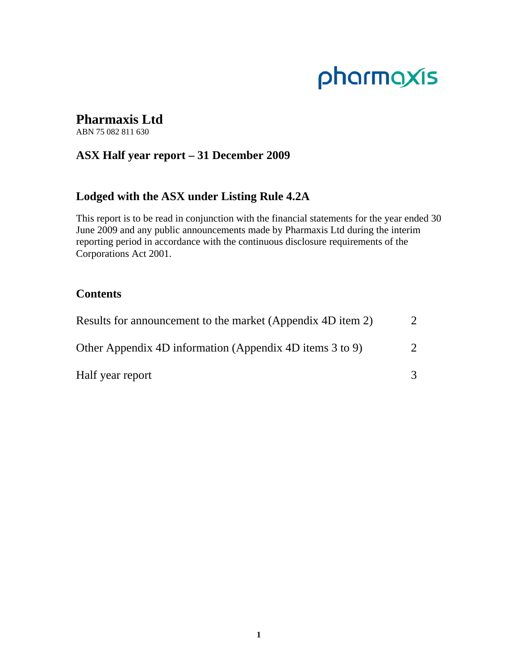# pharmaxis

# **Pharmaxis Ltd**

ABN 75 082 811 630

# **ASX Half year report – 31 December 2009**

# **Lodged with the ASX under Listing Rule 4.2A**

This report is to be read in conjunction with the financial statements for the year ended 30 June 2009 and any public announcements made by Pharmaxis Ltd during the interim reporting period in accordance with the continuous disclosure requirements of the Corporations Act 2001.

# **Contents**

| Results for announcement to the market (Appendix 4D item 2) |               |
|-------------------------------------------------------------|---------------|
| Other Appendix 4D information (Appendix 4D items 3 to 9)    | $\mathcal{D}$ |
| Half year report                                            |               |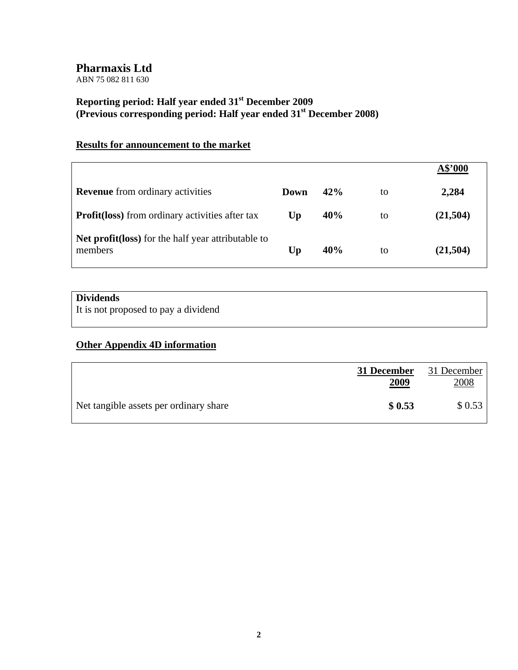ABN 75 082 811 630

# **Reporting period: Half year ended 31st December 2009 (Previous corresponding period: Half year ended 31st December 2008)**

# **Results for announcement to the market**

|                                                                |      |     |    | A\$'000  |
|----------------------------------------------------------------|------|-----|----|----------|
| <b>Revenue</b> from ordinary activities                        | Down | 42% | to | 2,284    |
| <b>Profit (loss)</b> from ordinary activities after tax        | Up   | 40% | to | (21,504) |
| Net profit (loss) for the half year attributable to<br>members | Up   | 40% | to | (21,504) |

# **Dividends**

It is not proposed to pay a dividend

# **Other Appendix 4D information**

|                                        | 31 December<br><u>2009</u> | 31 December<br>2008 |
|----------------------------------------|----------------------------|---------------------|
| Net tangible assets per ordinary share | \$0.53                     | \$0.53              |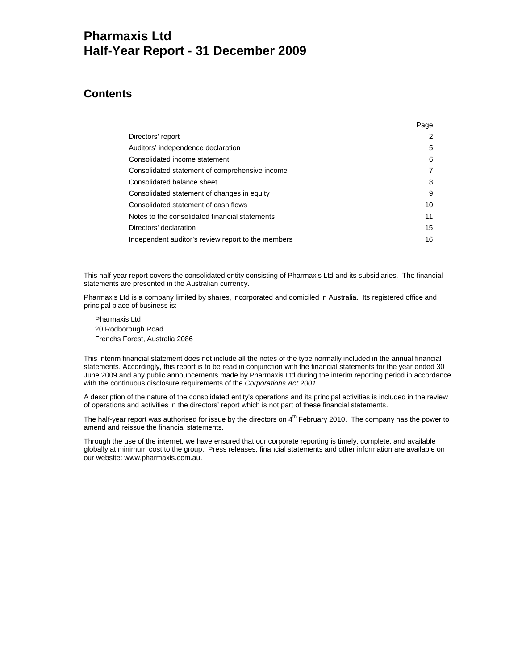# **Pharmaxis Ltd Half-Year Report - 31 December 2009**

# **Contents**

|                                                    | Page |
|----------------------------------------------------|------|
| Directors' report                                  | 2    |
| Auditors' independence declaration                 | 5    |
| Consolidated income statement                      | 6    |
| Consolidated statement of comprehensive income     | 7    |
| Consolidated balance sheet                         | 8    |
| Consolidated statement of changes in equity        | 9    |
| Consolidated statement of cash flows               | 10   |
| Notes to the consolidated financial statements     | 11   |
| Directors' declaration                             | 15   |
| Independent auditor's review report to the members | 16   |

This half-year report covers the consolidated entity consisting of Pharmaxis Ltd and its subsidiaries. The financial statements are presented in the Australian currency.

Pharmaxis Ltd is a company limited by shares, incorporated and domiciled in Australia. Its registered office and principal place of business is:

Pharmaxis Ltd 20 Rodborough Road Frenchs Forest, Australia 2086

This interim financial statement does not include all the notes of the type normally included in the annual financial statements. Accordingly, this report is to be read in conjunction with the financial statements for the year ended 30 June 2009 and any public announcements made by Pharmaxis Ltd during the interim reporting period in accordance with the continuous disclosure requirements of the *Corporations Act 2001*.

A description of the nature of the consolidated entity's operations and its principal activities is included in the review of operations and activities in the directors' report which is not part of these financial statements.

The half-year report was authorised for issue by the directors on 4<sup>th</sup> February 2010. The company has the power to amend and reissue the financial statements.

Through the use of the internet, we have ensured that our corporate reporting is timely, complete, and available globally at minimum cost to the group. Press releases, financial statements and other information are available on our website: www.pharmaxis.com.au.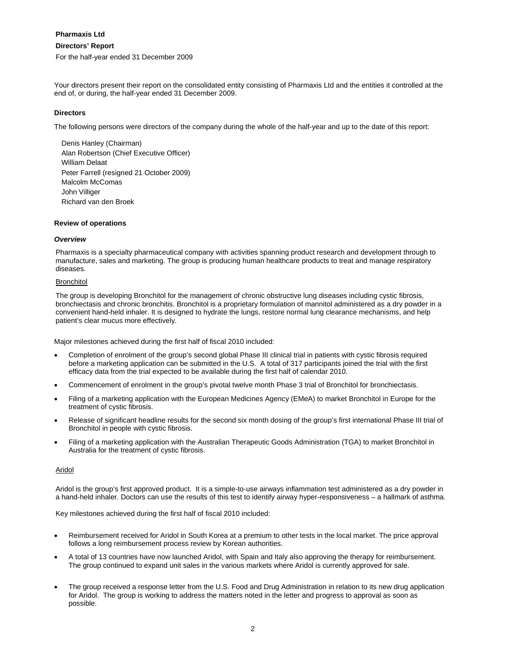# **Directors' Report**

For the half-year ended 31 December 2009

Your directors present their report on the consolidated entity consisting of Pharmaxis Ltd and the entities it controlled at the end of, or during, the half-year ended 31 December 2009.

# **Directors**

The following persons were directors of the company during the whole of the half-year and up to the date of this report:

Denis Hanley (Chairman) Alan Robertson (Chief Executive Officer) William Delaat Peter Farrell (resigned 21 October 2009) Malcolm McComas John Villiger Richard van den Broek

## **Review of operations**

## *Overview*

Pharmaxis is a specialty pharmaceutical company with activities spanning product research and development through to manufacture, sales and marketing. The group is producing human healthcare products to treat and manage respiratory diseases.

## **Bronchitol**

The group is developing Bronchitol for the management of chronic obstructive lung diseases including cystic fibrosis, bronchiectasis and chronic bronchitis. Bronchitol is a proprietary formulation of mannitol administered as a dry powder in a convenient hand-held inhaler. It is designed to hydrate the lungs, restore normal lung clearance mechanisms, and help patient's clear mucus more effectively.

Major milestones achieved during the first half of fiscal 2010 included:

- Completion of enrolment of the group's second global Phase III clinical trial in patients with cystic fibrosis required before a marketing application can be submitted in the U.S. A total of 317 participants joined the trial with the first efficacy data from the trial expected to be available during the first half of calendar 2010.
- Commencement of enrolment in the group's pivotal twelve month Phase 3 trial of Bronchitol for bronchiectasis.
- Filing of a marketing application with the European Medicines Agency (EMeA) to market Bronchitol in Europe for the treatment of cystic fibrosis.
- Release of significant headline results for the second six month dosing of the group's first international Phase III trial of Bronchitol in people with cystic fibrosis.
- Filing of a marketing application with the Australian Therapeutic Goods Administration (TGA) to market Bronchitol in Australia for the treatment of cystic fibrosis.

## Aridol

Aridol is the group's first approved product. It is a simple-to-use airways inflammation test administered as a dry powder in a hand-held inhaler. Doctors can use the results of this test to identify airway hyper-responsiveness – a hallmark of asthma.

Key milestones achieved during the first half of fiscal 2010 included:

- Reimbursement received for Aridol in South Korea at a premium to other tests in the local market. The price approval follows a long reimbursement process review by Korean authorities.
- A total of 13 countries have now launched Aridol, with Spain and Italy also approving the therapy for reimbursement. The group continued to expand unit sales in the various markets where Aridol is currently approved for sale.
- The group received a response letter from the U.S. Food and Drug Administration in relation to its new drug application for Aridol. The group is working to address the matters noted in the letter and progress to approval as soon as possible.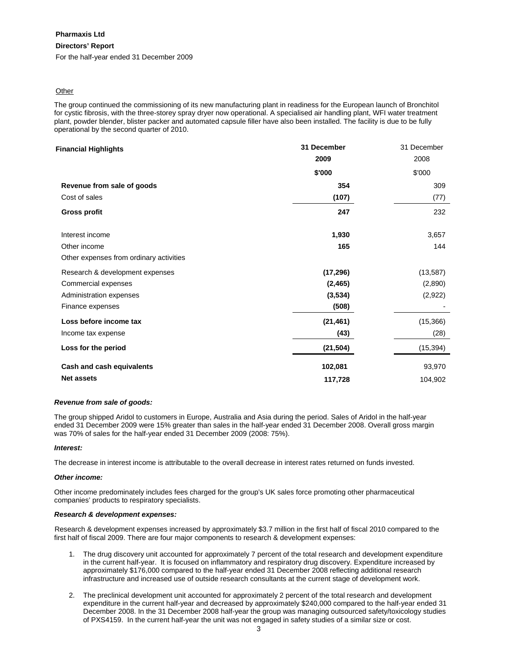# **Directors' Report**

For the half-year ended 31 December 2009

## **Other**

The group continued the commissioning of its new manufacturing plant in readiness for the European launch of Bronchitol for cystic fibrosis, with the three-storey spray dryer now operational. A specialised air handling plant, WFI water treatment plant, powder blender, blister packer and automated capsule filler have also been installed. The facility is due to be fully operational by the second quarter of 2010.

| <b>Financial Highlights</b>             | 31 December | 31 December |
|-----------------------------------------|-------------|-------------|
|                                         | 2009        | 2008        |
|                                         | \$'000      | \$'000      |
| Revenue from sale of goods              | 354         | 309         |
| Cost of sales                           | (107)       | (77)        |
| <b>Gross profit</b>                     | 247         | 232         |
| Interest income                         | 1,930       | 3,657       |
| Other income                            | 165         | 144         |
| Other expenses from ordinary activities |             |             |
| Research & development expenses         | (17, 296)   | (13, 587)   |
| Commercial expenses                     | (2, 465)    | (2,890)     |
| Administration expenses                 | (3,534)     | (2,922)     |
| Finance expenses                        | (508)       |             |
| Loss before income tax                  | (21, 461)   | (15, 366)   |
| Income tax expense                      | (43)        | (28)        |
| Loss for the period                     | (21, 504)   | (15, 394)   |
| Cash and cash equivalents               | 102,081     | 93,970      |
| <b>Net assets</b>                       | 117,728     | 104,902     |

## *Revenue from sale of goods:*

The group shipped Aridol to customers in Europe, Australia and Asia during the period. Sales of Aridol in the half-year ended 31 December 2009 were 15% greater than sales in the half-year ended 31 December 2008. Overall gross margin was 70% of sales for the half-year ended 31 December 2009 (2008: 75%).

## *Interest:*

The decrease in interest income is attributable to the overall decrease in interest rates returned on funds invested.

#### *Other income:*

Other income predominately includes fees charged for the group's UK sales force promoting other pharmaceutical companies' products to respiratory specialists.

#### *Research & development expenses:*

Research & development expenses increased by approximately \$3.7 million in the first half of fiscal 2010 compared to the first half of fiscal 2009. There are four major components to research & development expenses:

- 1. The drug discovery unit accounted for approximately 7 percent of the total research and development expenditure in the current half-year. It is focused on inflammatory and respiratory drug discovery. Expenditure increased by approximately \$176,000 compared to the half-year ended 31 December 2008 reflecting additional research infrastructure and increased use of outside research consultants at the current stage of development work.
- 2. The preclinical development unit accounted for approximately 2 percent of the total research and development expenditure in the current half-year and decreased by approximately \$240,000 compared to the half-year ended 31 December 2008. In the 31 December 2008 half-year the group was managing outsourced safety/toxicology studies of PXS4159. In the current half-year the unit was not engaged in safety studies of a similar size or cost.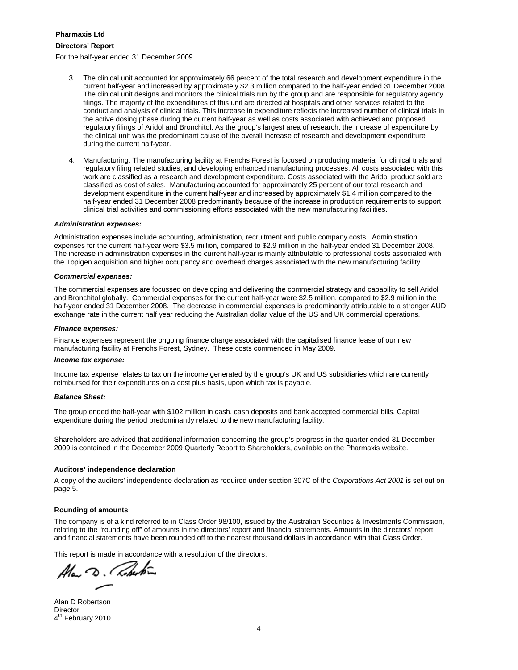## **Directors' Report**

For the half-year ended 31 December 2009

- 3. The clinical unit accounted for approximately 66 percent of the total research and development expenditure in the current half-year and increased by approximately \$2.3 million compared to the half-year ended 31 December 2008. The clinical unit designs and monitors the clinical trials run by the group and are responsible for regulatory agency filings. The majority of the expenditures of this unit are directed at hospitals and other services related to the conduct and analysis of clinical trials. This increase in expenditure reflects the increased number of clinical trials in the active dosing phase during the current half-year as well as costs associated with achieved and proposed regulatory filings of Aridol and Bronchitol. As the group's largest area of research, the increase of expenditure by the clinical unit was the predominant cause of the overall increase of research and development expenditure during the current half-year.
- 4. Manufacturing. The manufacturing facility at Frenchs Forest is focused on producing material for clinical trials and regulatory filing related studies, and developing enhanced manufacturing processes. All costs associated with this work are classified as a research and development expenditure. Costs associated with the Aridol product sold are classified as cost of sales. Manufacturing accounted for approximately 25 percent of our total research and development expenditure in the current half-year and increased by approximately \$1.4 million compared to the half-year ended 31 December 2008 predominantly because of the increase in production requirements to support clinical trial activities and commissioning efforts associated with the new manufacturing facilities.

#### *Administration expenses:*

Administration expenses include accounting, administration, recruitment and public company costs. Administration expenses for the current half-year were \$3.5 million, compared to \$2.9 million in the half-year ended 31 December 2008. The increase in administration expenses in the current half-year is mainly attributable to professional costs associated with the Topigen acquisition and higher occupancy and overhead charges associated with the new manufacturing facility.

#### *Commercial expenses:*

The commercial expenses are focussed on developing and delivering the commercial strategy and capability to sell Aridol and Bronchitol globally. Commercial expenses for the current half-year were \$2.5 million, compared to \$2.9 million in the half-year ended 31 December 2008. The decrease in commercial expenses is predominantly attributable to a stronger AUD exchange rate in the current half year reducing the Australian dollar value of the US and UK commercial operations.

#### *Finance expenses:*

Finance expenses represent the ongoing finance charge associated with the capitalised finance lease of our new manufacturing facility at Frenchs Forest, Sydney. These costs commenced in May 2009.

#### *Income tax expense:*

Income tax expense relates to tax on the income generated by the group's UK and US subsidiaries which are currently reimbursed for their expenditures on a cost plus basis, upon which tax is payable.

#### *Balance Sheet:*

The group ended the half-year with \$102 million in cash, cash deposits and bank accepted commercial bills. Capital expenditure during the period predominantly related to the new manufacturing facility.

Shareholders are advised that additional information concerning the group's progress in the quarter ended 31 December 2009 is contained in the December 2009 Quarterly Report to Shareholders, available on the Pharmaxis website.

## **Auditors' independence declaration**

A copy of the auditors' independence declaration as required under section 307C of the *Corporations Act 2001* is set out on page 5.

## **Rounding of amounts**

The company is of a kind referred to in Class Order 98/100, issued by the Australian Securities & Investments Commission, relating to the "rounding off" of amounts in the directors' report and financial statements. Amounts in the directors' report and financial statements have been rounded off to the nearest thousand dollars in accordance with that Class Order.

This report is made in accordance with a resolution of the directors.

Alan D. Roberton

Alan D Robertson **Director** 4<sup>th</sup> February 2010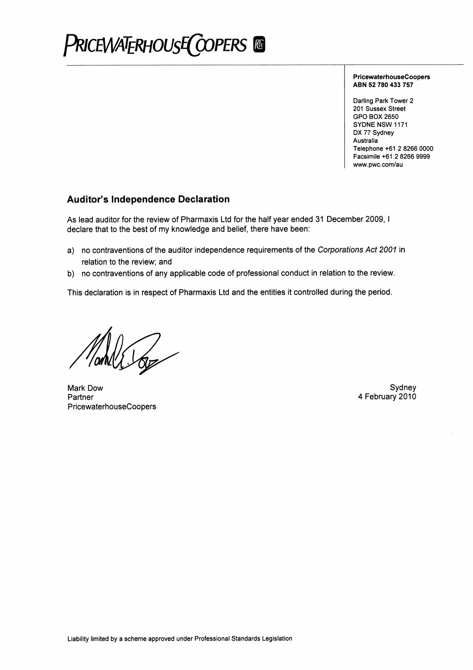

**PricewaterhouseCoopers** ABN 52 780 433 757

Darling Park Tower 2 201 Sussex Street **GPO BOX 2650** SYDNE NSW 1171 DX 77 Sydney Australia Telephone +61 2 8266 0000 Facsimile +61 2 8266 9999 www.pwc.com/au

# **Auditor's Independence Declaration**

As lead auditor for the review of Pharmaxis Ltd for the half year ended 31 December 2009, I declare that to the best of my knowledge and belief, there have been:

- a) no contraventions of the auditor independence requirements of the Corporations Act 2001 in relation to the review; and
- b) no contraventions of any applicable code of professional conduct in relation to the review.

This declaration is in respect of Pharmaxis Ltd and the entities it controlled during the period.

Mark Dow Partner PricewaterhouseCoopers

Sydney 4 February 2010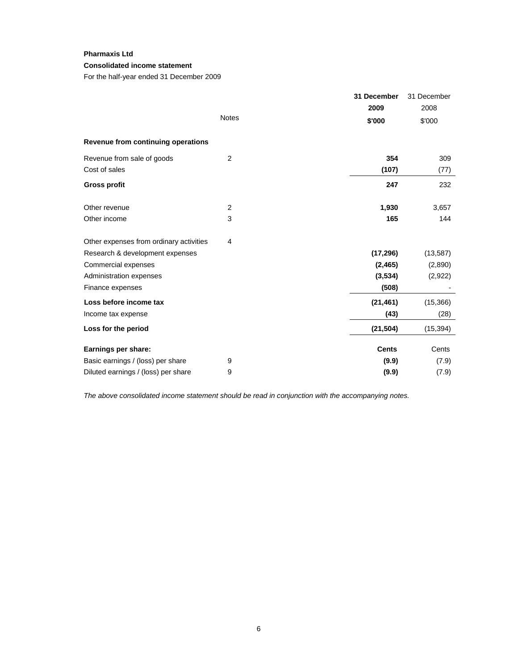# **Consolidated income statement**

For the half-year ended 31 December 2009

|                                         |                | 31 December  | 31 December |
|-----------------------------------------|----------------|--------------|-------------|
|                                         |                | 2009         | 2008        |
|                                         | <b>Notes</b>   | \$'000       | \$'000      |
| Revenue from continuing operations      |                |              |             |
| Revenue from sale of goods              | 2              | 354          | 309         |
| Cost of sales                           |                | (107)        | (77)        |
| <b>Gross profit</b>                     |                | 247          | 232         |
| Other revenue                           | $\overline{2}$ | 1,930        | 3,657       |
| Other income                            | 3              | 165          | 144         |
| Other expenses from ordinary activities | 4              |              |             |
| Research & development expenses         |                | (17, 296)    | (13, 587)   |
| Commercial expenses                     |                | (2, 465)     | (2,890)     |
| Administration expenses                 |                | (3,534)      | (2,922)     |
| Finance expenses                        |                | (508)        |             |
| Loss before income tax                  |                | (21, 461)    | (15,366)    |
| Income tax expense                      |                | (43)         | (28)        |
| Loss for the period                     |                | (21, 504)    | (15, 394)   |
| Earnings per share:                     |                | <b>Cents</b> | Cents       |
| Basic earnings / (loss) per share       | 9              | (9.9)        | (7.9)       |
| Diluted earnings / (loss) per share     | 9              | (9.9)        | (7.9)       |

*The above consolidated income statement should be read in conjunction with the accompanying notes.*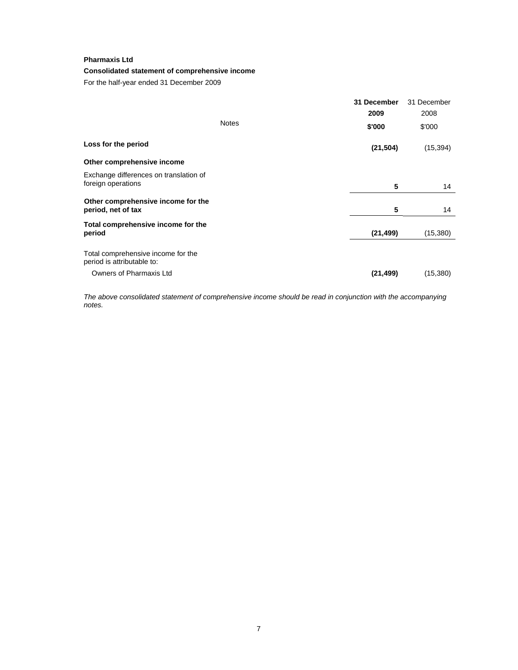# **Consolidated statement of comprehensive income**

For the half-year ended 31 December 2009

|                                                                  |              | 31 December | 31 December |
|------------------------------------------------------------------|--------------|-------------|-------------|
|                                                                  |              | 2009        | 2008        |
|                                                                  | <b>Notes</b> | \$'000      | \$'000      |
| Loss for the period                                              |              | (21, 504)   | (15, 394)   |
| Other comprehensive income                                       |              |             |             |
| Exchange differences on translation of<br>foreign operations     |              | 5           | 14          |
|                                                                  |              |             |             |
| Other comprehensive income for the<br>period, net of tax         |              | 5           | 14          |
| Total comprehensive income for the                               |              |             |             |
| period                                                           |              | (21, 499)   | (15,380)    |
| Total comprehensive income for the<br>period is attributable to: |              |             |             |
| Owners of Pharmaxis Ltd                                          |              | (21, 499)   | (15,380)    |
|                                                                  |              |             |             |

*The above consolidated statement of comprehensive income should be read in conjunction with the accompanying notes.*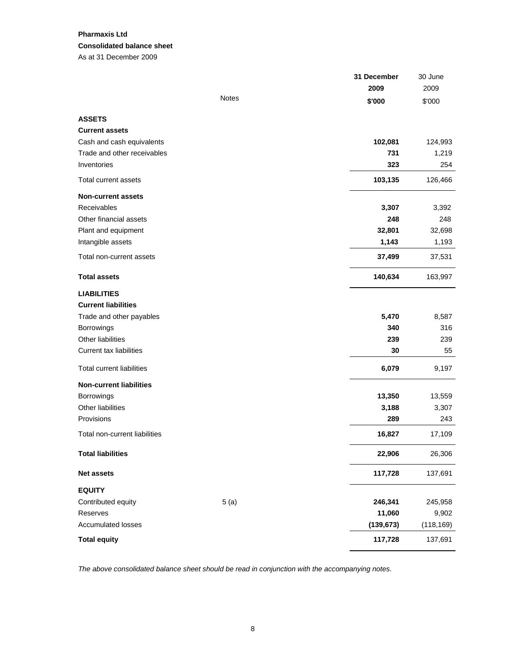# **Pharmaxis Ltd Consolidated balance sheet**  As at 31 December 2009

|                                  |              | 31 December | 30 June    |
|----------------------------------|--------------|-------------|------------|
|                                  |              | 2009        | 2009       |
|                                  | <b>Notes</b> | \$'000      | \$'000     |
| <b>ASSETS</b>                    |              |             |            |
| <b>Current assets</b>            |              |             |            |
| Cash and cash equivalents        |              | 102,081     | 124,993    |
| Trade and other receivables      |              | 731         | 1,219      |
| Inventories                      |              | 323         | 254        |
| Total current assets             |              | 103,135     | 126,466    |
| <b>Non-current assets</b>        |              |             |            |
| Receivables                      |              | 3,307       | 3,392      |
| Other financial assets           |              | 248         | 248        |
| Plant and equipment              |              | 32,801      | 32,698     |
| Intangible assets                |              | 1,143       | 1,193      |
| Total non-current assets         |              | 37,499      | 37,531     |
| <b>Total assets</b>              |              | 140,634     | 163,997    |
| <b>LIABILITIES</b>               |              |             |            |
| <b>Current liabilities</b>       |              |             |            |
| Trade and other payables         |              | 5,470       | 8,587      |
| Borrowings                       |              | 340         | 316        |
| Other liabilities                |              | 239         | 239        |
| <b>Current tax liabilities</b>   |              | 30          | 55         |
| <b>Total current liabilities</b> |              | 6,079       | 9,197      |
| <b>Non-current liabilities</b>   |              |             |            |
| Borrowings                       |              | 13,350      | 13,559     |
| Other liabilities                |              | 3,188       | 3,307      |
| Provisions                       |              | 289         | 243        |
| Total non-current liabilities    |              | 16,827      | 17,109     |
| <b>Total liabilities</b>         |              | 22,906      | 26,306     |
| <b>Net assets</b>                |              | 117,728     | 137,691    |
| <b>EQUITY</b>                    |              |             |            |
| Contributed equity               | 5(a)         | 246,341     | 245,958    |
| Reserves                         |              | 11,060      | 9,902      |
| <b>Accumulated losses</b>        |              | (139, 673)  | (118, 169) |
| <b>Total equity</b>              |              | 117,728     | 137,691    |

*The above consolidated balance sheet should be read in conjunction with the accompanying notes.*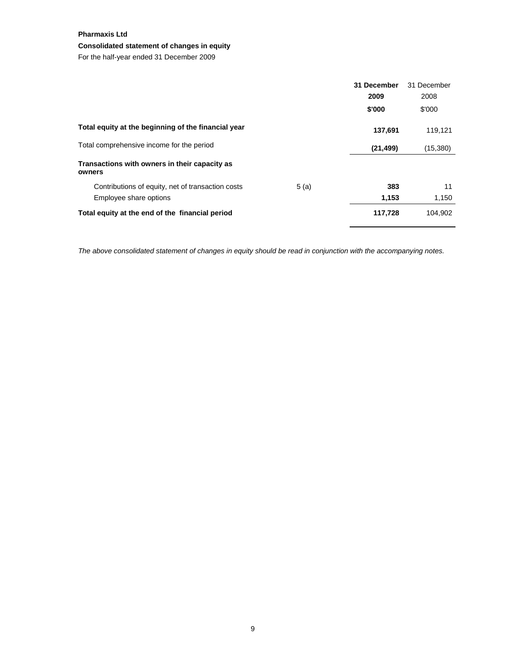# **Consolidated statement of changes in equity**

For the half-year ended 31 December 2009

|                                                         |      | 31 December | 31 December |
|---------------------------------------------------------|------|-------------|-------------|
|                                                         |      | 2009        | 2008        |
|                                                         |      | \$'000      | \$'000      |
| Total equity at the beginning of the financial year     |      | 137,691     | 119.121     |
| Total comprehensive income for the period               |      | (21, 499)   | (15,380)    |
| Transactions with owners in their capacity as<br>owners |      |             |             |
| Contributions of equity, net of transaction costs       | 5(a) | 383         | 11          |
| Employee share options                                  |      | 1,153       | 1,150       |
| Total equity at the end of the financial period         |      | 117,728     | 104.902     |

*The above consolidated statement of changes in equity should be read in conjunction with the accompanying notes.*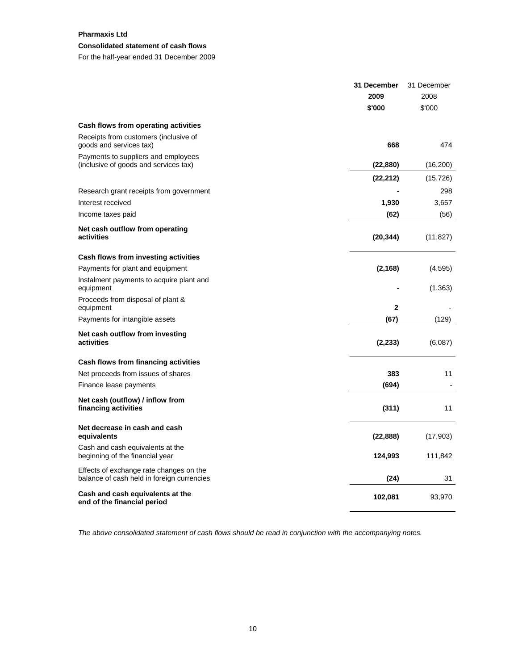# **Consolidated statement of cash flows**

For the half-year ended 31 December 2009

|                                                                                       | 31 December             | 31 December |
|---------------------------------------------------------------------------------------|-------------------------|-------------|
|                                                                                       | 2009                    | 2008        |
|                                                                                       | \$'000                  | \$'000      |
| Cash flows from operating activities                                                  |                         |             |
| Receipts from customers (inclusive of<br>goods and services tax)                      | 668                     | 474         |
| Payments to suppliers and employees<br>(inclusive of goods and services tax)          | (22, 880)               | (16, 200)   |
|                                                                                       | (22, 212)               | (15, 726)   |
| Research grant receipts from government                                               |                         | 298         |
| Interest received                                                                     | 1,930                   | 3,657       |
| Income taxes paid                                                                     | (62)                    | (56)        |
| Net cash outflow from operating<br>activities                                         | (20, 344)               | (11, 827)   |
| Cash flows from investing activities                                                  |                         |             |
| Payments for plant and equipment                                                      | (2, 168)                | (4,595)     |
| Instalment payments to acquire plant and<br>equipment                                 |                         | (1, 363)    |
| Proceeds from disposal of plant &<br>equipment                                        | $\overline{\mathbf{2}}$ |             |
| Payments for intangible assets                                                        | (67)                    | (129)       |
| Net cash outflow from investing<br>activities                                         | (2, 233)                | (6,087)     |
| Cash flows from financing activities                                                  |                         |             |
| Net proceeds from issues of shares                                                    | 383                     | 11          |
| Finance lease payments                                                                | (694)                   |             |
| Net cash (outflow) / inflow from<br>financing activities                              | (311)                   | 11          |
| Net decrease in cash and cash<br>equivalents                                          | (22, 888)               | (17,903)    |
| Cash and cash equivalents at the<br>beginning of the financial year                   | 124,993                 | 111,842     |
| Effects of exchange rate changes on the<br>balance of cash held in foreign currencies | (24)                    | 31          |
| Cash and cash equivalents at the<br>end of the financial period                       | 102,081                 | 93,970      |

*The above consolidated statement of cash flows should be read in conjunction with the accompanying notes.*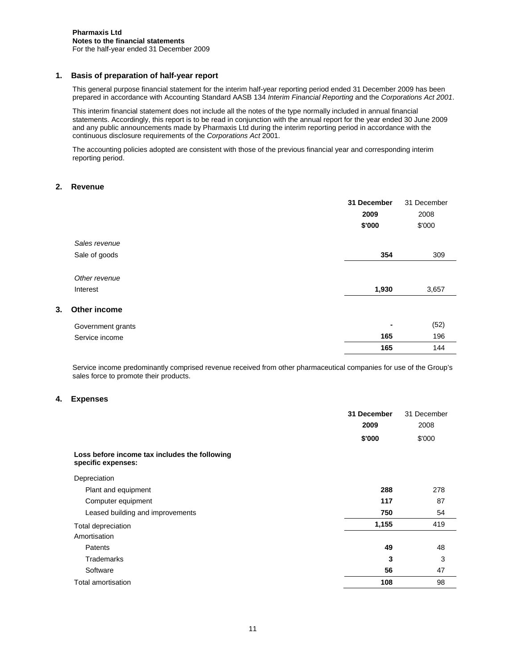# **1. Basis of preparation of half-year report**

This general purpose financial statement for the interim half-year reporting period ended 31 December 2009 has been prepared in accordance with Accounting Standard AASB 134 *Interim Financial Reporting* and the *Corporations Act 2001*.

This interim financial statement does not include all the notes of the type normally included in annual financial statements. Accordingly, this report is to be read in conjunction with the annual report for the year ended 30 June 2009 and any public announcements made by Pharmaxis Ltd during the interim reporting period in accordance with the continuous disclosure requirements of the *Corporations Act* 2001.

The accounting policies adopted are consistent with those of the previous financial year and corresponding interim reporting period.

# **2. Revenue**

|    |                           | 31 December<br>2009<br>\$'000 | 31 December<br>2008<br>\$'000 |
|----|---------------------------|-------------------------------|-------------------------------|
|    | Sales revenue             |                               |                               |
|    | Sale of goods             | 354                           | 309                           |
|    | Other revenue<br>Interest | 1,930                         | 3,657                         |
| 3. | Other income              |                               |                               |
|    | Government grants         | ۰                             | (52)                          |
|    | Service income            | 165                           | 196                           |
|    |                           | 165                           | 144                           |

Service income predominantly comprised revenue received from other pharmaceutical companies for use of the Group's sales force to promote their products.

## **4. Expenses**

|                                                                     | 31 December | 31 December |
|---------------------------------------------------------------------|-------------|-------------|
|                                                                     | 2009        | 2008        |
|                                                                     | \$'000      | \$'000      |
| Loss before income tax includes the following<br>specific expenses: |             |             |
| Depreciation                                                        |             |             |
| Plant and equipment                                                 | 288         | 278         |
| Computer equipment                                                  | 117         | 87          |
| Leased building and improvements                                    | 750         | 54          |
| Total depreciation                                                  | 1,155       | 419         |
| Amortisation                                                        |             |             |
| Patents                                                             | 49          | 48          |
| Trademarks                                                          | 3           | 3           |
| Software                                                            | 56          | 47          |
| Total amortisation                                                  | 108         | 98          |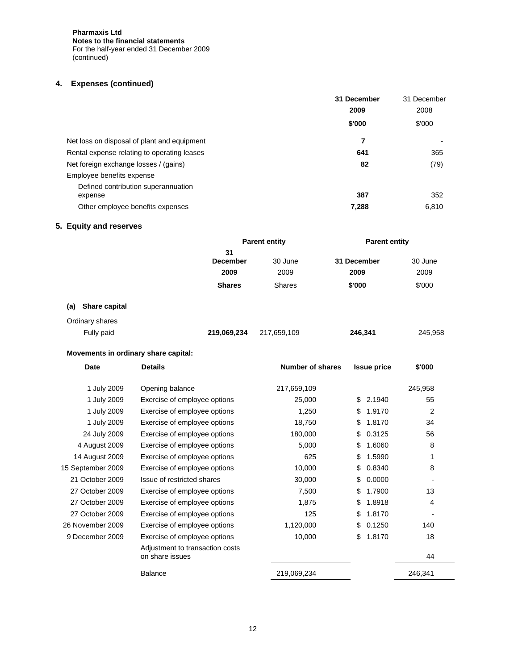**Pharmaxis Ltd Notes to the financial statements**  For the half-year ended 31 December 2009 (continued)

# **4. Expenses (continued)**

|                                                | 31 December | 31 December |
|------------------------------------------------|-------------|-------------|
|                                                | 2009        | 2008        |
|                                                | \$'000      | \$'000      |
| Net loss on disposal of plant and equipment    | 7           |             |
| Rental expense relating to operating leases    | 641         | 365         |
| Net foreign exchange losses / (gains)          | 82          | (79)        |
| Employee benefits expense                      |             |             |
| Defined contribution superannuation<br>expense | 387         | 352         |
| Other employee benefits expenses               | 7,288       | 6,810       |

# **5. Equity and reserves**

|                      | <b>Parent entity</b>  |               | <b>Parent entity</b> |         |
|----------------------|-----------------------|---------------|----------------------|---------|
|                      | 31<br><b>December</b> | 30 June       | 31 December          | 30 June |
|                      | 2009                  | 2009          | 2009                 | 2009    |
|                      | <b>Shares</b>         | <b>Shares</b> | \$'000               | \$'000  |
| Share capital<br>(a) |                       |               |                      |         |
| Ordinary shares      |                       |               |                      |         |
| Fully paid           | 219,069,234           | 217,659,109   | 246,341              | 245,958 |

# **Movements in ordinary share capital:**

| <b>Date</b>       | <b>Details</b>                                     | <b>Number of shares</b> | <b>Issue price</b> | \$'000         |
|-------------------|----------------------------------------------------|-------------------------|--------------------|----------------|
| 1 July 2009       | Opening balance                                    | 217,659,109             |                    | 245,958        |
| 1 July 2009       | Exercise of employee options                       | 25,000                  | \$<br>2.1940       | 55             |
| 1 July 2009       | Exercise of employee options                       | 1,250                   | 1.9170<br>\$       | $\overline{2}$ |
| 1 July 2009       | Exercise of employee options                       | 18,750                  | 1.8170<br>\$       | 34             |
| 24 July 2009      | Exercise of employee options                       | 180,000                 | 0.3125<br>\$       | 56             |
| 4 August 2009     | Exercise of employee options                       | 5,000                   | 1.6060<br>\$       | 8              |
| 14 August 2009    | Exercise of employee options                       | 625                     | 1.5990<br>\$       | 1              |
| 15 September 2009 | Exercise of employee options                       | 10,000                  | 0.8340<br>\$       | 8              |
| 21 October 2009   | Issue of restricted shares                         | 30,000                  | 0.0000<br>\$       |                |
| 27 October 2009   | Exercise of employee options                       | 7,500                   | 1.7900<br>\$       | 13             |
| 27 October 2009   | Exercise of employee options                       | 1,875                   | \$<br>1.8918       | 4              |
| 27 October 2009   | Exercise of employee options                       | 125                     | \$<br>1.8170       |                |
| 26 November 2009  | Exercise of employee options                       | 1,120,000               | 0.1250<br>\$       | 140            |
| 9 December 2009   | Exercise of employee options                       | 10,000                  | \$<br>1.8170       | 18             |
|                   | Adjustment to transaction costs<br>on share issues |                         |                    | 44             |
|                   | <b>Balance</b>                                     | 219,069,234             |                    | 246,341        |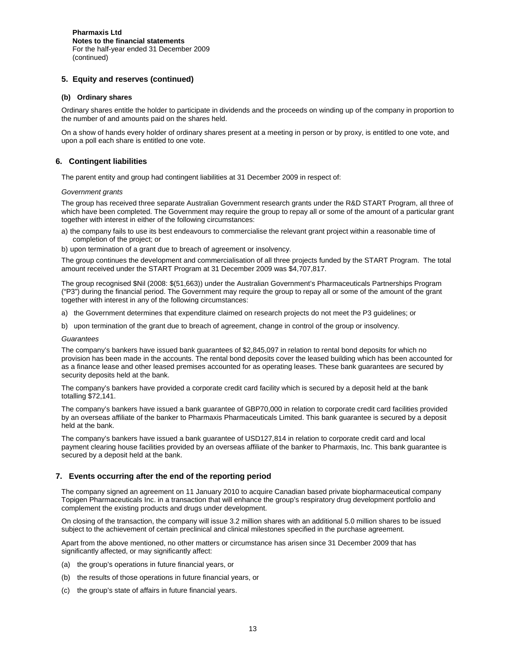# **5. Equity and reserves (continued)**

#### **(b) Ordinary shares**

Ordinary shares entitle the holder to participate in dividends and the proceeds on winding up of the company in proportion to the number of and amounts paid on the shares held.

On a show of hands every holder of ordinary shares present at a meeting in person or by proxy, is entitled to one vote, and upon a poll each share is entitled to one vote.

## **6. Contingent liabilities**

The parent entity and group had contingent liabilities at 31 December 2009 in respect of:

#### *Government grants*

The group has received three separate Australian Government research grants under the R&D START Program, all three of which have been completed. The Government may require the group to repay all or some of the amount of a particular grant together with interest in either of the following circumstances:

- a) the company fails to use its best endeavours to commercialise the relevant grant project within a reasonable time of completion of the project; or
- b) upon termination of a grant due to breach of agreement or insolvency.

The group continues the development and commercialisation of all three projects funded by the START Program. The total amount received under the START Program at 31 December 2009 was \$4,707,817.

The group recognised \$Nil (2008: \$(51,663)) under the Australian Government's Pharmaceuticals Partnerships Program ("P3") during the financial period. The Government may require the group to repay all or some of the amount of the grant together with interest in any of the following circumstances:

- a) the Government determines that expenditure claimed on research projects do not meet the P3 guidelines; or
- b) upon termination of the grant due to breach of agreement, change in control of the group or insolvency.

#### *Guarantees*

The company's bankers have issued bank guarantees of \$2,845,097 in relation to rental bond deposits for which no provision has been made in the accounts. The rental bond deposits cover the leased building which has been accounted for as a finance lease and other leased premises accounted for as operating leases. These bank guarantees are secured by security deposits held at the bank.

The company's bankers have provided a corporate credit card facility which is secured by a deposit held at the bank totalling \$72,141.

The company's bankers have issued a bank guarantee of GBP70,000 in relation to corporate credit card facilities provided by an overseas affiliate of the banker to Pharmaxis Pharmaceuticals Limited. This bank guarantee is secured by a deposit held at the bank.

The company's bankers have issued a bank guarantee of USD127,814 in relation to corporate credit card and local payment clearing house facilities provided by an overseas affiliate of the banker to Pharmaxis, Inc. This bank guarantee is secured by a deposit held at the bank.

## **7. Events occurring after the end of the reporting period**

The company signed an agreement on 11 January 2010 to acquire Canadian based private biopharmaceutical company Topigen Pharmaceuticals Inc. in a transaction that will enhance the group's respiratory drug development portfolio and complement the existing products and drugs under development.

On closing of the transaction, the company will issue 3.2 million shares with an additional 5.0 million shares to be issued subject to the achievement of certain preclinical and clinical milestones specified in the purchase agreement.

Apart from the above mentioned, no other matters or circumstance has arisen since 31 December 2009 that has significantly affected, or may significantly affect:

- (a) the group's operations in future financial years, or
- (b) the results of those operations in future financial years, or
- (c) the group's state of affairs in future financial years.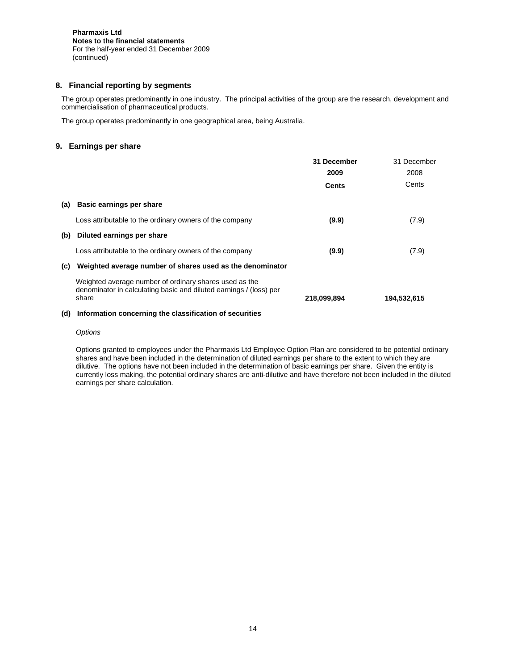# **8. Financial reporting by segments**

The group operates predominantly in one industry. The principal activities of the group are the research, development and commercialisation of pharmaceutical products.

The group operates predominantly in one geographical area, being Australia.

# **9. Earnings per share**

|     |                                                                                                                                       | 31 December | 31 December |
|-----|---------------------------------------------------------------------------------------------------------------------------------------|-------------|-------------|
|     |                                                                                                                                       | 2009        | 2008        |
|     |                                                                                                                                       | Cents       | Cents       |
| (a) | <b>Basic earnings per share</b>                                                                                                       |             |             |
|     | Loss attributable to the ordinary owners of the company                                                                               | (9.9)       | (7.9)       |
| (b) | Diluted earnings per share                                                                                                            |             |             |
|     | Loss attributable to the ordinary owners of the company                                                                               | (9.9)       | (7.9)       |
| (c) | Weighted average number of shares used as the denominator                                                                             |             |             |
|     | Weighted average number of ordinary shares used as the<br>denominator in calculating basic and diluted earnings / (loss) per<br>share | 218,099,894 | 194,532,615 |
|     |                                                                                                                                       |             |             |

## **(d) Information concerning the classification of securities**

#### *Options*

Options granted to employees under the Pharmaxis Ltd Employee Option Plan are considered to be potential ordinary shares and have been included in the determination of diluted earnings per share to the extent to which they are dilutive. The options have not been included in the determination of basic earnings per share. Given the entity is currently loss making, the potential ordinary shares are anti-dilutive and have therefore not been included in the diluted earnings per share calculation.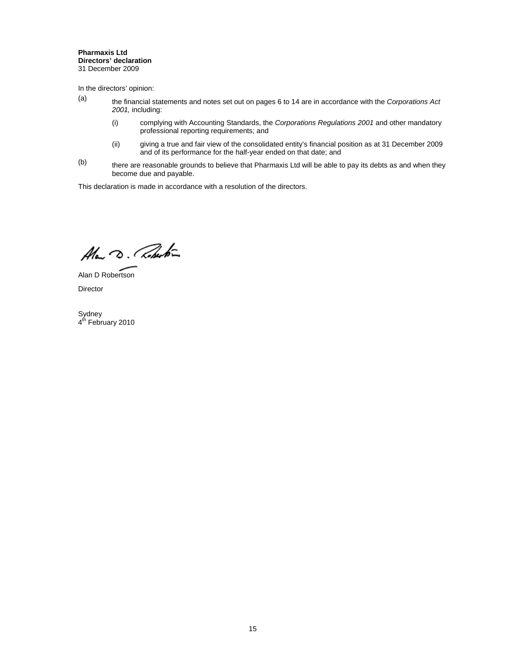#### **Pharmaxis Ltd Directors' declaration**  31 December 2009

In the directors' opinion:

- (a) the financial statements and notes set out on pages 6 to 14 are in accordance with the *Corporations Act 2001,* including:
	- (i) complying with Accounting Standards, the *Corporations Regulations 2001* and other mandatory professional reporting requirements; and
	- (ii) giving a true and fair view of the consolidated entity's financial position as at 31 December 2009 and of its performance for the half-year ended on that date; and
- $(b)$  there are reasonable grounds to believe that Pharmaxis Ltd will be able to pay its debts as and when they become due and payable.

This declaration is made in accordance with a resolution of the directors.

Alan D. Roberton

Alan D Robertson Director

Sydney 4<sup>th</sup> February 2010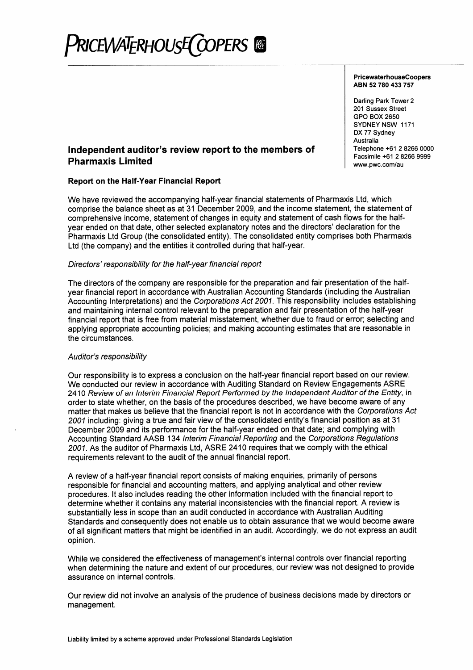# PRICEWATERHOUSE COPERS ®

## **PricewaterhouseCoopers** ABN 52 780 433 757

Darling Park Tower 2 201 Sussex Street **GPO BOX 2650** SYDNEY NSW 1171 DX 77 Sydney Australia Telephone +61 2 8266 0000 Facsimile +61 2 8266 9999 www.pwc.com/au

# Independent auditor's review report to the members of **Pharmaxis Limited**

# **Report on the Half-Year Financial Report**

We have reviewed the accompanying half-year financial statements of Pharmaxis Ltd, which comprise the balance sheet as at 31 December 2009, and the income statement, the statement of comprehensive income, statement of changes in equity and statement of cash flows for the halfyear ended on that date, other selected explanatory notes and the directors' declaration for the Pharmaxis Ltd Group (the consolidated entity). The consolidated entity comprises both Pharmaxis Ltd (the company) and the entities it controlled during that half-year.

# Directors' responsibility for the half-year financial report

The directors of the company are responsible for the preparation and fair presentation of the halfvear financial report in accordance with Australian Accounting Standards (including the Australian Accounting Interpretations) and the Corporations Act 2001. This responsibility includes establishing and maintaining internal control relevant to the preparation and fair presentation of the half-year financial report that is free from material misstatement, whether due to fraud or error; selecting and applying appropriate accounting policies; and making accounting estimates that are reasonable in the circumstances.

# Auditor's responsibility

Our responsibility is to express a conclusion on the half-year financial report based on our review. We conducted our review in accordance with Auditing Standard on Review Engagements ASRE 2410 Review of an Interim Financial Report Performed by the Independent Auditor of the Entity, in order to state whether, on the basis of the procedures described, we have become aware of any matter that makes us believe that the financial report is not in accordance with the Corporations Act 2001 including: giving a true and fair view of the consolidated entity's financial position as at 31 December 2009 and its performance for the half-year ended on that date; and complying with Accounting Standard AASB 134 Interim Financial Reporting and the Corporations Regulations 2001. As the auditor of Pharmaxis Ltd, ASRE 2410 requires that we comply with the ethical requirements relevant to the audit of the annual financial report.

A review of a half-year financial report consists of making enguiries, primarily of persons responsible for financial and accounting matters, and applying analytical and other review procedures. It also includes reading the other information included with the financial report to determine whether it contains any material inconsistencies with the financial report. A review is substantially less in scope than an audit conducted in accordance with Australian Auditing Standards and consequently does not enable us to obtain assurance that we would become aware of all significant matters that might be identified in an audit. Accordingly, we do not express an audit opinion.

While we considered the effectiveness of management's internal controls over financial reporting when determining the nature and extent of our procedures, our review was not designed to provide assurance on internal controls.

Our review did not involve an analysis of the prudence of business decisions made by directors or management.